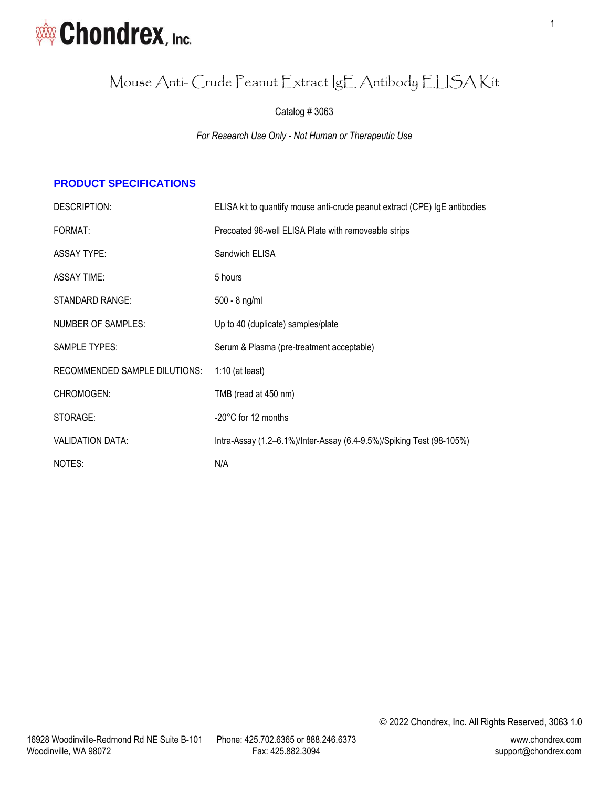

## Mouse Anti- Crude Peanut Extract IgE Antibody ELISA Kit

Catalog # 3063

*For Research Use Only - Not Human or Therapeutic Use*

#### **PRODUCT SPECIFICATIONS**

| DESCRIPTION:                         | ELISA kit to quantify mouse anti-crude peanut extract (CPE) IgE antibodies |
|--------------------------------------|----------------------------------------------------------------------------|
| FORMAT:                              | Precoated 96-well ELISA Plate with removeable strips                       |
| <b>ASSAY TYPE:</b>                   | Sandwich ELISA                                                             |
| <b>ASSAY TIME:</b>                   | 5 hours                                                                    |
| <b>STANDARD RANGE:</b>               | 500 - 8 ng/ml                                                              |
| NUMBER OF SAMPLES:                   | Up to 40 (duplicate) samples/plate                                         |
| SAMPLE TYPES:                        | Serum & Plasma (pre-treatment acceptable)                                  |
| <b>RECOMMENDED SAMPLE DILUTIONS:</b> | $1:10$ (at least)                                                          |
| CHROMOGEN:                           | TMB (read at 450 nm)                                                       |
| STORAGE:                             | -20°C for 12 months                                                        |
| <b>VALIDATION DATA:</b>              | Intra-Assay (1.2–6.1%)/Inter-Assay (6.4-9.5%)/Spiking Test (98-105%)       |
| NOTES:                               | N/A                                                                        |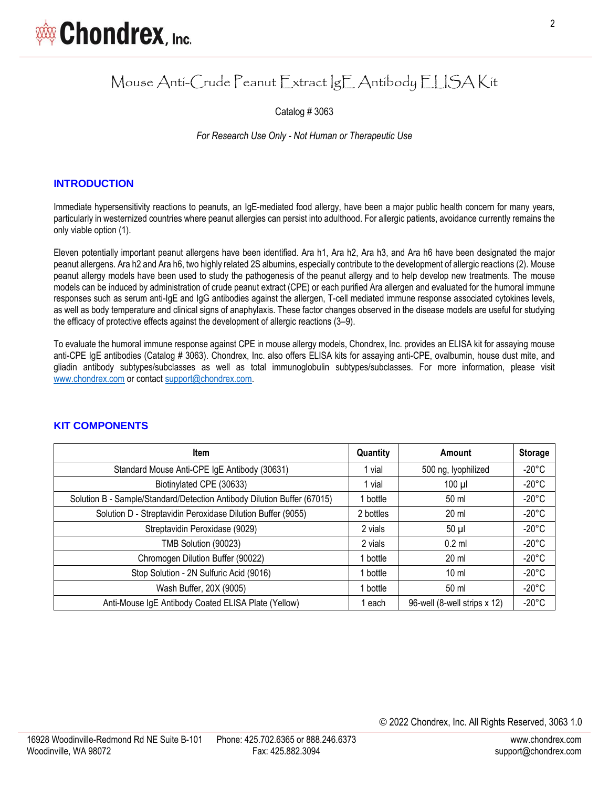

### Mouse Anti-Crude Peanut Extract IgE Antibody ELISA Kit

Catalog # 3063

*For Research Use Only - Not Human or Therapeutic Use*

#### **INTRODUCTION**

Immediate hypersensitivity reactions to peanuts, an IgE-mediated food allergy, have been a major public health concern for many years, particularly in westernized countries where peanut allergies can persist into adulthood. For allergic patients, avoidance currently remains the only viable option (1).

Eleven potentially important peanut allergens have been identified. Ara h1, Ara h2, Ara h3, and Ara h6 have been designated the major peanut allergens. Ara h2 and Ara h6, two highly related 2S albumins, especially contribute to the development of allergic reactions (2). Mouse peanut allergy models have been used to study the pathogenesis of the peanut allergy and to help develop new treatments. The mouse models can be induced by administration of crude peanut extract (CPE) or each purified Ara allergen and evaluated for the humoral immune responses such as serum anti-IgE and IgG antibodies against the allergen, T-cell mediated immune response associated cytokines levels, as well as body temperature and clinical signs of anaphylaxis. These factor changes observed in the disease models are useful for studying the efficacy of protective effects against the development of allergic reactions (3–9).

To evaluate the humoral immune response against CPE in mouse allergy models, Chondrex, Inc. provides an ELISA kit for assaying mouse anti-CPE IgE antibodies (Catalog # 3063). Chondrex, Inc. also offers ELISA kits for assaying anti-CPE, ovalbumin, house dust mite, and gliadin antibody subtypes/subclasses as well as total immunoglobulin subtypes/subclasses. For more information, please visit [www.chondrex.com](http://www.chondrex.com/) or contact [support@chondrex.com.](mailto:support@chondrex.com)

| <b>Item</b>                                                             | Quantity  | Amount                       | <b>Storage</b>  |
|-------------------------------------------------------------------------|-----------|------------------------------|-----------------|
| Standard Mouse Anti-CPE IgE Antibody (30631)                            | 1 vial    | 500 ng, lyophilized          | $-20^{\circ}$ C |
| Biotinylated CPE (30633)                                                | 1 vial    | $100 \mu$                    | $-20^{\circ}$ C |
| Solution B - Sample/Standard/Detection Antibody Dilution Buffer (67015) | 1 bottle  | 50 ml                        | $-20^{\circ}$ C |
| Solution D - Streptavidin Peroxidase Dilution Buffer (9055)             | 2 bottles | $20 \mathrm{ml}$             | $-20^{\circ}$ C |
| Streptavidin Peroxidase (9029)                                          | 2 vials   | $50 \mu$                     | $-20^{\circ}$ C |
| TMB Solution (90023)                                                    | 2 vials   | $0.2$ ml                     | $-20^{\circ}$ C |
| Chromogen Dilution Buffer (90022)                                       | 1 bottle  | $20 \mathrm{ml}$             | $-20^{\circ}$ C |
| Stop Solution - 2N Sulfuric Acid (9016)                                 | 1 bottle  | $10 \mathrm{m}$              | $-20^{\circ}$ C |
| Wash Buffer, 20X (9005)                                                 | 1 bottle  | 50 ml                        | $-20^{\circ}$ C |
| Anti-Mouse IgE Antibody Coated ELISA Plate (Yellow)                     | each      | 96-well (8-well strips x 12) | $-20^{\circ}$ C |

#### **KIT COMPONENTS**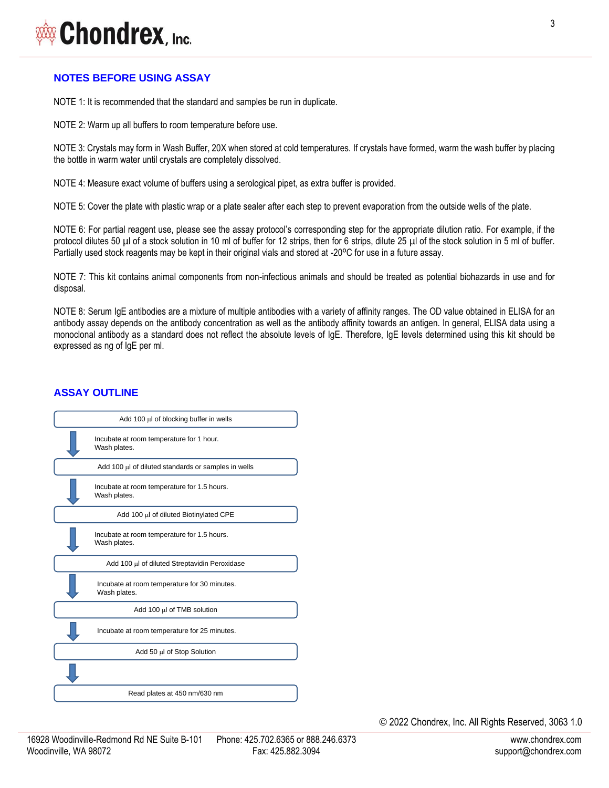# Chondrex, Inc.

#### **NOTES BEFORE USING ASSAY**

NOTE 1: It is recommended that the standard and samples be run in duplicate.

NOTE 2: Warm up all buffers to room temperature before use.

NOTE 3: Crystals may form in Wash Buffer, 20X when stored at cold temperatures. If crystals have formed, warm the wash buffer by placing the bottle in warm water until crystals are completely dissolved.

NOTE 4: Measure exact volume of buffers using a serological pipet, as extra buffer is provided.

NOTE 5: Cover the plate with plastic wrap or a plate sealer after each step to prevent evaporation from the outside wells of the plate.

NOTE 6: For partial reagent use, please see the assay protocol's corresponding step for the appropriate dilution ratio. For example, if the protocol dilutes 50 µl of a stock solution in 10 ml of buffer for 12 strips, then for 6 strips, dilute 25 µl of the stock solution in 5 ml of buffer. Partially used stock reagents may be kept in their original vials and stored at -20°C for use in a future assay.

NOTE 7: This kit contains animal components from non-infectious animals and should be treated as potential biohazards in use and for disposal.

NOTE 8: Serum IgE antibodies are a mixture of multiple antibodies with a variety of affinity ranges. The OD value obtained in ELISA for an antibody assay depends on the antibody concentration as well as the antibody affinity towards an antigen. In general, ELISA data using a monoclonal antibody as a standard does not reflect the absolute levels of IgE. Therefore, IgE levels determined using this kit should be expressed as ng of IgE per ml.

#### **ASSAY OUTLINE**



© 2022 Chondrex, Inc. All Rights Reserved, 3063 1.0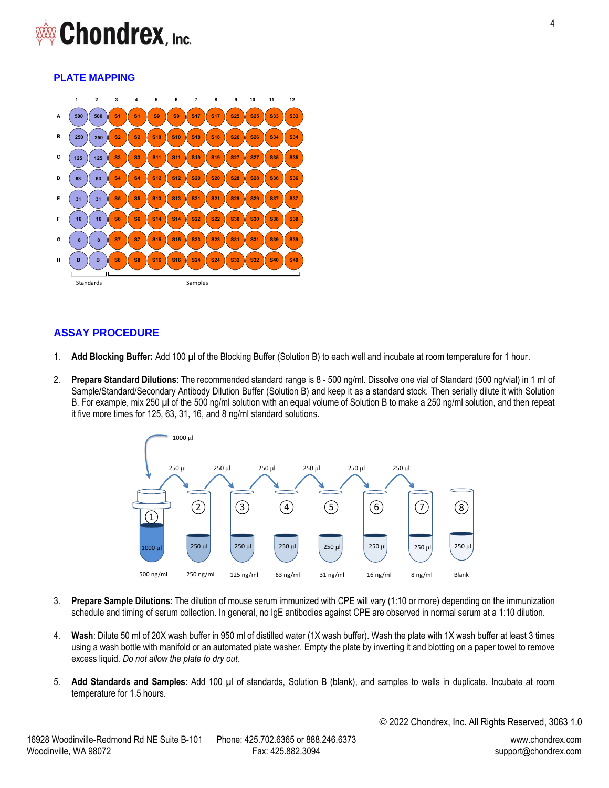#### **PLATE MAPPING**



#### **ASSAY PROCEDURE**

- 1. **Add Blocking Buffer:** Add 100 µl of the Blocking Buffer (Solution B) to each well and incubate at room temperature for 1 hour.
- 2. **Prepare Standard Dilutions**: The recommended standard range is 8 500 ng/ml. Dissolve one vial of Standard (500 ng/vial) in 1 ml of Sample/Standard/Secondary Antibody Dilution Buffer (Solution B) and keep it as a standard stock. Then serially dilute it with Solution B. For example, mix 250 µl of the 500 ng/ml solution with an equal volume of Solution B to make a 250 ng/ml solution, and then repeat it five more times for 125, 63, 31, 16, and 8 ng/ml standard solutions.



- 3. **Prepare Sample Dilutions**: The dilution of mouse serum immunized with CPE will vary (1:10 or more) depending on the immunization schedule and timing of serum collection. In general, no IgE antibodies against CPE are observed in normal serum at a 1:10 dilution.
- 4. **Wash**: Dilute 50 ml of 20X wash buffer in 950 ml of distilled water (1X wash buffer). Wash the plate with 1X wash buffer at least 3 times using a wash bottle with manifold or an automated plate washer. Empty the plate by inverting it and blotting on a paper towel to remove excess liquid. *Do not allow the plate to dry out.*
- 5. **Add Standards and Samples**: Add 100 µl of standards, Solution B (blank), and samples to wells in duplicate. Incubate at room temperature for 1.5 hours.

© 2022 Chondrex, Inc. All Rights Reserved, 3063 1.0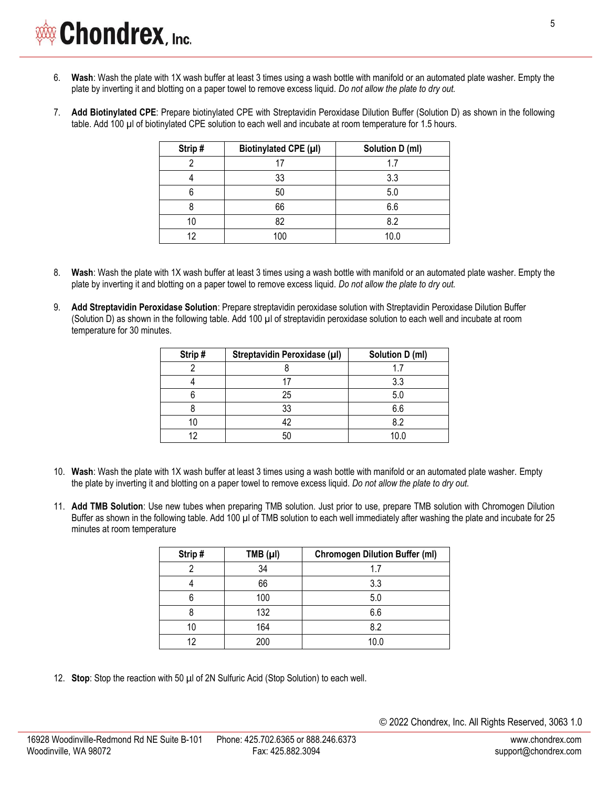- 6. **Wash**: Wash the plate with 1X wash buffer at least 3 times using a wash bottle with manifold or an automated plate washer. Empty the plate by inverting it and blotting on a paper towel to remove excess liquid. *Do not allow the plate to dry out.*
- 7. **Add Biotinylated CPE**: Prepare biotinylated CPE with Streptavidin Peroxidase Dilution Buffer (Solution D) as shown in the following table. Add 100 µl of biotinylated CPE solution to each well and incubate at room temperature for 1.5 hours.

| Strip# | Biotinylated CPE (µl) | Solution D (ml) |
|--------|-----------------------|-----------------|
|        |                       | 1.7             |
|        | 33                    | 3.3             |
|        | 50                    | 5.0             |
|        | 66                    | 6.6             |
| 10     | 82                    | 8.2             |
| 12     | 100                   | 10.0            |

- 8. **Wash**: Wash the plate with 1X wash buffer at least 3 times using a wash bottle with manifold or an automated plate washer. Empty the plate by inverting it and blotting on a paper towel to remove excess liquid. *Do not allow the plate to dry out.*
- 9. **Add Streptavidin Peroxidase Solution**: Prepare streptavidin peroxidase solution with Streptavidin Peroxidase Dilution Buffer (Solution D) as shown in the following table. Add 100 µl of streptavidin peroxidase solution to each well and incubate at room temperature for 30 minutes.

| Strip# | Streptavidin Peroxidase (µl) | Solution D (ml) |  |
|--------|------------------------------|-----------------|--|
|        |                              |                 |  |
|        |                              | 3.3             |  |
|        | 25                           | 5.0             |  |
|        | 33                           | 6.6             |  |
|        | 42                           | 8.2             |  |
| 19     | 50                           | 1በ በ            |  |

- 10. **Wash**: Wash the plate with 1X wash buffer at least 3 times using a wash bottle with manifold or an automated plate washer. Empty the plate by inverting it and blotting on a paper towel to remove excess liquid. *Do not allow the plate to dry out.*
- 11. **Add TMB Solution**: Use new tubes when preparing TMB solution. Just prior to use, prepare TMB solution with Chromogen Dilution Buffer as shown in the following table. Add 100 µl of TMB solution to each well immediately after washing the plate and incubate for 25 minutes at room temperature

| Strip# | TMB (µI) | <b>Chromogen Dilution Buffer (ml)</b> |
|--------|----------|---------------------------------------|
|        | 34       | 17                                    |
|        | 66       | 3.3                                   |
| n      | 100      | 5.0                                   |
|        | 132      | 6.6                                   |
| 10     | 164      | 8.2                                   |
| 12     | 200      | 10.0                                  |

12. **Stop**: Stop the reaction with 50 µl of 2N Sulfuric Acid (Stop Solution) to each well.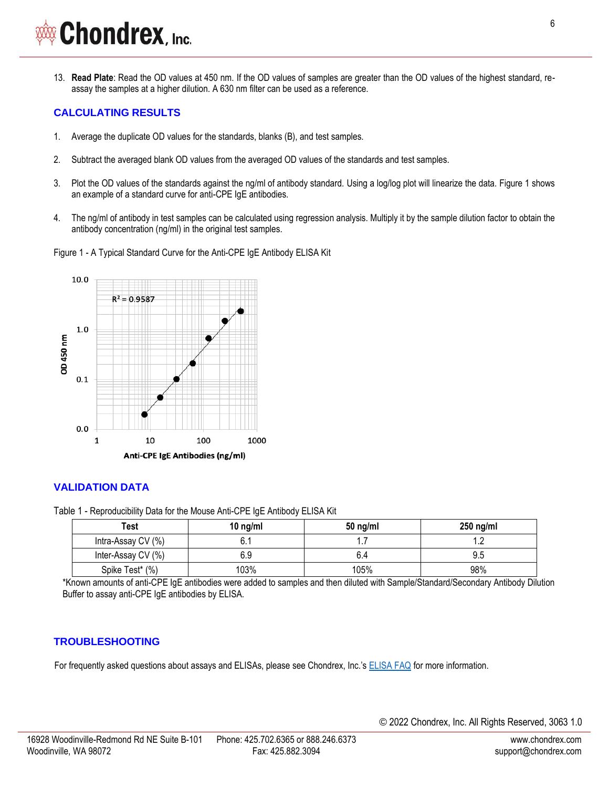# **Chondrex**, Inc.

13. **Read Plate**: Read the OD values at 450 nm. If the OD values of samples are greater than the OD values of the highest standard, reassay the samples at a higher dilution. A 630 nm filter can be used as a reference.

### **CALCULATING RESULTS**

- 1. Average the duplicate OD values for the standards, blanks (B), and test samples.
- 2. Subtract the averaged blank OD values from the averaged OD values of the standards and test samples.
- 3. Plot the OD values of the standards against the ng/ml of antibody standard. Using a log/log plot will linearize the data. Figure 1 shows an example of a standard curve for anti-CPE IgE antibodies.
- 4. The ng/ml of antibody in test samples can be calculated using regression analysis. Multiply it by the sample dilution factor to obtain the antibody concentration (ng/ml) in the original test samples.
- Figure 1 A Typical Standard Curve for the Anti-CPE IgE Antibody ELISA Kit



#### **VALIDATION DATA**

Table 1 - Reproducibility Data for the Mouse Anti-CPE IgE Antibody ELISA Kit

| Test               | 10 $ng/ml$ | $50$ ng/ml | $250$ ng/ml |
|--------------------|------------|------------|-------------|
| Intra-Assay CV (%) | υ.         |            |             |
| Inter-Assay CV (%) | 6.9        | 6.4        |             |
| Spike Test* (%)    | 103%       | 105%       | 98%         |

\*Known amounts of anti-CPE IgE antibodies were added to samples and then diluted with Sample/Standard/Secondary Antibody Dilution Buffer to assay anti-CPE IgE antibodies by ELISA.

#### **TROUBLESHOOTING**

For frequently asked questions about assays and ELISAs, please see Chondrex, Inc.'s [ELISA FAQ](https://www.chondrex.com/documents/ELISA-FAQ.pdf) for more information.